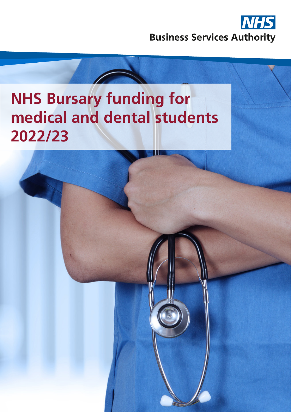

# **NHS Bursary funding for medical and dental students 2022/23**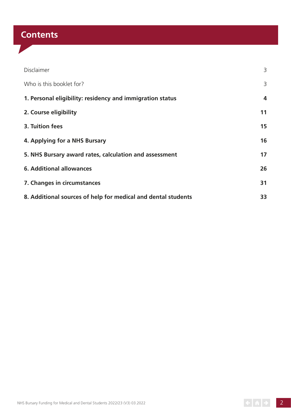# **Contents**

| Disclaimer                                                    | 3  |
|---------------------------------------------------------------|----|
| Who is this booklet for?                                      | 3  |
| 1. Personal eligibility: residency and immigration status     | 4  |
| 2. Course eligibility                                         | 11 |
| 3. Tuition fees                                               | 15 |
| 4. Applying for a NHS Bursary                                 | 16 |
| 5. NHS Bursary award rates, calculation and assessment        | 17 |
| <b>6. Additional allowances</b>                               | 26 |
| 7. Changes in circumstances                                   | 31 |
| 8. Additional sources of help for medical and dental students | 33 |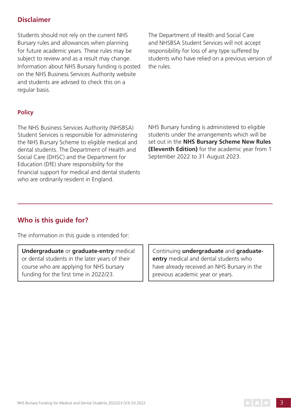# **Disclaimer**

Students should not rely on the current NHS Bursary rules and allowances when planning for future academic years. These rules may be subject to review and as a result may change. Information about NHS Bursary funding is posted on the NHS Business Services Authority website and students are advised to check this on a regular basis.

The Department of Health and Social Care and NHSBSA Student Services will not accept responsibility for loss of any type suffered by students who have relied on a previous version of the rules.

#### **Policy**

The NHS Business Services Authority (NHSBSA) Student Services is responsible for administering the NHS Bursary Scheme to eligible medical and dental students. The Department of Health and Social Care (DHSC) and the Department for Education (DfE) share responsibility for the financial support for medical and dental students who are ordinarily resident in England.

NHS Bursary funding is administered to eligible students under the arrangements which will be set out in the **NHS Bursary Scheme New Rules (Eleventh Edition)** for the academic year from 1 September 2022 to 31 August 2023.

# **Who is this guide for?**

The information in this guide is intended for:

**Undergraduate** or **graduate-entry** medical or dental students in the later years of their course who are applying for NHS bursary funding for the first time in 2022/23.

Continuing **undergraduate** and **graduateentry** medical and dental students who have already received an NHS Bursary in the previous academic year or years.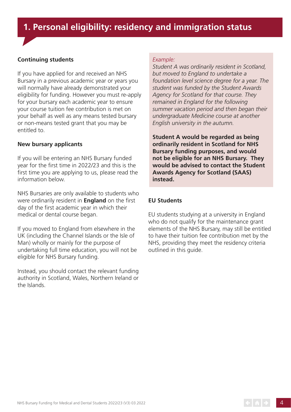# **1. Personal eligibility: residency and immigration status**

#### **Continuing students**

If you have applied for and received an NHS Bursary in a previous academic year or years you will normally have already demonstrated your eligibility for funding. However you must re-apply for your bursary each academic year to ensure your course tuition fee contribution is met on your behalf as well as any means tested bursary or non-means tested grant that you may be entitled to.

#### **New bursary applicants**

If you will be entering an NHS Bursary funded year for the first time in 2022/23 and this is the first time you are applying to us, please read the information below.

NHS Bursaries are only available to students who were ordinarily resident in **England** on the first day of the first academic year in which their medical or dental course began.

If you moved to England from elsewhere in the UK (including the Channel Islands or the Isle of Man) wholly or mainly for the purpose of undertaking full time education, you will not be eligible for NHS Bursary funding.

Instead, you should contact the relevant funding authority in Scotland, Wales, Northern Ireland or the Islands.

#### *Example:*

*Student A was ordinarily resident in Scotland, but moved to England to undertake a foundation level science degree for a year. The student was funded by the Student Awards Agency for Scotland for that course. They remained in England for the following summer vacation period and then began their undergraduate Medicine course at another English university in the autumn.*

**Student A would be regarded as being ordinarily resident in Scotland for NHS Bursary funding purposes, and would not be eligible for an NHS Bursary. They would be advised to contact the Student Awards Agency for Scotland (SAAS) instead.**

#### **EU Students**

EU students studying at a university in England who do not qualify for the maintenance grant elements of the NHS Bursary, may still be entitled to have their tuition fee contribution met by the NHS, providing they meet the residency criteria outlined in this guide.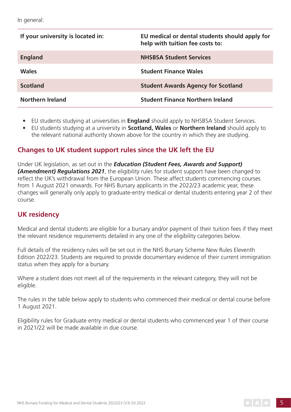| If your university is located in: | EU medical or dental students should apply for<br>help with tuition fee costs to: |
|-----------------------------------|-----------------------------------------------------------------------------------|
| <b>England</b>                    | <b>NHSBSA Student Services</b>                                                    |
| <b>Wales</b>                      | <b>Student Finance Wales</b>                                                      |
| <b>Scotland</b>                   | <b>Student Awards Agency for Scotland</b>                                         |
| <b>Northern Ireland</b>           | <b>Student Finance Northern Ireland</b>                                           |

- EU students studying at universities in **England** should apply to NHSBSA Student Services.
- EU students studying at a university in **Scotland, Wales** or **Northern Ireland** should apply to the relevant national authority shown above for the country in which they are studying.

# **Changes to UK student support rules since the UK left the EU**

Under UK legislation, as set out in the *Education (Student Fees, Awards and Support) (Amendment) Regulations 2021*, the eligibility rules for student support have been changed to reflect the UK's withdrawal from the European Union. These affect students commencing courses from 1 August 2021 onwards. For NHS Bursary applicants in the 2022/23 academic year, these changes will generally only apply to graduate-entry medical or dental students entering year 2 of their course.

# **UK residency**

Medical and dental students are eligible for a bursary and/or payment of their tuition fees if they meet the relevant residence requirements detailed in any one of the eligibility categories below.

Full details of the residency rules will be set out in the NHS Bursary Scheme New Rules Eleventh Edition 2022/23. Students are required to provide documentary evidence of their current immigration status when they apply for a bursary.

Where a student does not meet all of the requirements in the relevant category, they will not be eligible.

The rules in the table below apply to students who commenced their medical or dental course before 1 August 2021.

Eligibility rules for Graduate entry medical or dental students who commenced year 1 of their course in 2021/22 will be made available in due course.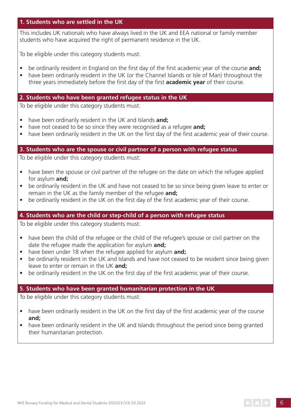#### **1. Students who are settled in the UK**

This includes UK nationals who have always lived in the UK and EEA national or family member students who have acquired the right of permanent residence in the UK.

To be eligible under this category students must:

- be ordinarily resident in England on the first day of the first academic year of the course **and;**
- have been ordinarily resident in the UK (or the Channel Islands or Isle of Man) throughout the three years immediately before the first day of the first **academic year** of their course.

#### **2. Students who have been granted refugee status in the UK**

To be eligible under this category students must:

- have been ordinarily resident in the UK and Islands **and;**
- have not ceased to be so since they were recognised as a refugee **and;**
- have been ordinarily resident in the UK on the first day of the first academic year of their course.

#### **3. Students who are the spouse or civil partner of a person with refugee status**

To be eligible under this category students must:

- have been the spouse or civil partner of the refugee on the date on which the refugee applied for asylum **and;**
- be ordinarily resident in the UK and have not ceased to be so since being given leave to enter or remain in the UK as the family member of the refugee **and;**
- be ordinarily resident in the UK on the first day of the first academic year of their course.

#### **4. Students who are the child or step-child of a person with refugee status**

To be eligible under this category students must:

- have been the child of the refugee or the child of the refugee's spouse or civil partner on the date the refugee made the application for asylum **and;**
- have been under 18 when the refugee applied for asylum **and;**
- be ordinarily resident in the UK and Islands and have not ceased to be resident since being given leave to enter or remain in the UK **and;**
- be ordinarily resident in the UK on the first day of the first academic year of their course.

#### **5. Students who have been granted humanitarian protection in the UK**

To be eligible under this category students must:

- have been ordinarily resident in the UK on the first day of the first academic year of the course **and;**
- have been ordinarily resident in the UK and Islands throughout the period since being granted their humanitarian protection.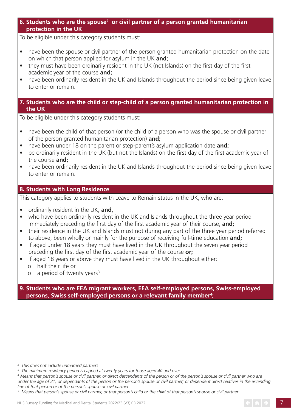6. Students who are the spouse<sup>2</sup> or civil partner of a person granted humanitarian  **protection in the UK**

To be eligible under this category students must:

- have been the spouse or civil partner of the person granted humanitarian protection on the date on which that person applied for asylum in the UK **and**;
- they must have been ordinarily resident in the UK (not Islands) on the first day of the first academic year of the course **and;**
- have been ordinarily resident in the UK and Islands throughout the period since being given leave to enter or remain.

#### **7. Students who are the child or step-child of a person granted humanitarian protection in the UK**

To be eligible under this category students must:

- have been the child of that person (or the child of a person who was the spouse or civil partner of the person granted humanitarian protection) **and;**
- have been under 18 on the parent or step-parent's asylum application date **and;**
- be ordinarily resident in the UK (but not the Islands) on the first day of the first academic year of the course **and;**
- have been ordinarily resident in the UK and Islands throughout the period since being given leave to enter or remain.

#### **8. Students with Long Residence**

This category applies to students with Leave to Remain status in the UK, who are:

- ordinarily resident in the UK, **and**;
- who have been ordinarily resident in the UK and Islands throughout the three year period immediately preceding the first day of the first academic year of their course, **and;**
- their residence in the UK and Islands must not during any part of the three year period referred to above, been wholly or mainly for the purpose of receiving full-time education **and;**
- if aged under 18 years they must have lived in the UK throughout the seven year period preceding the first day of the first academic year of the course **or;**
- if aged 18 years or above they must have lived in the UK throughout either:
	- o half their life or
	- $o$  a period of twenty years<sup>3</sup>

**9. Students who are EEA migrant workers, EEA self-employed persons, Swiss-employed persons, Swiss self-employed persons or a relevant family member<sup>4</sup>;** 

*<sup>2</sup> This does not include unmarried partners*

*<sup>3</sup> The minimum residency period is capped at twenty years for those aged 40 and over.*

<sup>&</sup>lt;sup>4</sup> Means that person's spouse or civil partner, or direct descendants of the person or of the person's spouse or civil partner who are *under the age of 21, or dependants of the person or the person's spouse or civil partner; or dependent direct relatives in the ascending line of that person or of the person's spouse or civil partner*

*<sup>5</sup> Means that person's spouse or civil partner, or that person's child or the child of that person's spouse or civil partner.*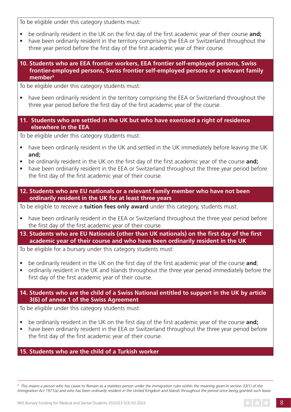To be eligible under this category students must:

- be ordinarily resident in the UK on the first day of the first academic year of their course **and;**
- have been ordinarily resident in the territory comprising the EEA or Switzerland throughout the three year period before the first day of the first academic year of their course.
- **10. Students who are EEA frontier workers, EEA frontier self-employed persons, Swiss frontier-employed persons, Swiss frontier self-employed persons or a relevant family**  member<sup>5</sup>

To be eligible under this category students must:

- have been ordinarily resident in the territory comprising the EEA or Switzerland throughout the three year period before the first day of the first academic year of the course.
- **11. Students who are settled in the UK but who have exercised a right of residence elsewhere in the EEA**

To be eligible under this category students must:

- have been ordinarily resident in the UK and settled in the UK immediately before leaving the UK **and;**
- be ordinarily resident in the UK on the first day of the first academic year of the course **and;**
- have been ordinarily resident in the EEA or Switzerland throughout the three year period before the first day of the first academic year of their course.
- **12. Students who are EU nationals or a relevant family member who have not been ordinarily resident in the UK for at least three years**

To be eligible to receive a **tuition fees only award** under this category, students must:

- have been ordinarily resident in the EEA or Switzerland throughout the three year period before the first day of the first academic year of their course.
- **13. Students who are EU Nationals (other than UK nationals) on the first day of the first academic year of their course and who have been ordinarily resident in the UK**

To be eligible for a bursary under this category students must:

- be ordinarily resident in the UK on the first day of the first academic year of the course **and**;
- ordinarily resident in the UK and Islands throughout the three year period immediately before the first day of the first academic year of their course.

# **14. Students who are the child of a Swiss National entitled to support in the UK by article 3(6) of annex 1 of the Swiss Agreement**

To be eligible under this category students must:

- be ordinarily resident in the UK on the first day of the first academic year of the course **and;**
- have been ordinarily resident in the EEA or Switzerland throughout the three year period before the first day of the first academic year of their course.

# **15. Students who are the child of a Turkish worker**

 $^6\,$  This means a person who has Leave to Remain as a stateless person under the immigration rules within the meaning given in section 33(1) of the *Immigration Act 1971(a) and who has been ordinarily resident in the United Kingdom and Islands throughout the period since being granted such leave.*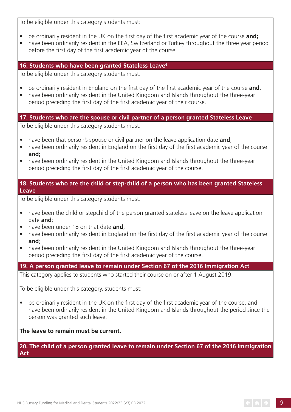To be eligible under this category students must:

- be ordinarily resident in the UK on the first day of the first academic year of the course **and;**
- have been ordinarily resident in the EEA, Switzerland or Turkey throughout the three year period before the first day of the first academic year of the course.

# **16. Students who have been granted Stateless Leave6**

To be eligible under this category students must:

- be ordinarily resident in England on the first day of the first academic year of the course **and**;
- have been ordinarily resident in the United Kingdom and Islands throughout the three-year period preceding the first day of the first academic year of their course.

## **17. Students who are the spouse or civil partner of a person granted Stateless Leave**

To be eligible under this category students must:

- have been that person's spouse or civil partner on the leave application date **and**;
- have been ordinarily resident in England on the first day of the first academic year of the course **and;**
- have been ordinarily resident in the United Kingdom and Islands throughout the three-year period preceding the first day of the first academic year of the course.

#### **18. Students who are the child or step-child of a person who has been granted Stateless Leave**

To be eligible under this category students must:

- have been the child or stepchild of the person granted stateless leave on the leave application date **and**;
- have been under 18 on that date **and**;
- have been ordinarily resident in England on the first day of the first academic year of the course **and**;
- have been ordinarily resident in the United Kingdom and Islands throughout the three-year period preceding the first day of the first academic year of the course.

**19. A person granted leave to remain under Section 67 of the 2016 Immigration Act** This category applies to students who started their course on or after 1 August 2019.

To be eligible under this category, students must:

• be ordinarily resident in the UK on the first day of the first academic year of the course, and have been ordinarily resident in the United Kingdom and Islands throughout the period since the person was granted such leave.

#### **The leave to remain must be current.**

#### **20. The child of a person granted leave to remain under Section 67 of the 2016 Immigration Act**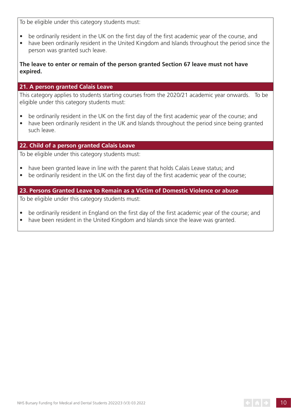To be eligible under this category students must:

- be ordinarily resident in the UK on the first day of the first academic year of the course, and
- have been ordinarily resident in the United Kingdom and Islands throughout the period since the person was granted such leave.

## **The leave to enter or remain of the person granted Section 67 leave must not have expired.**

## **21. A person granted Calais Leave**

This category applies to students starting courses from the 2020/21 academic year onwards. To be eligible under this category students must:

- be ordinarily resident in the UK on the first day of the first academic year of the course; and
- have been ordinarily resident in the UK and Islands throughout the period since being granted such leave.

# **22. Child of a person granted Calais Leave**

To be eligible under this category students must:

- have been granted leave in line with the parent that holds Calais Leave status; and
- be ordinarily resident in the UK on the first day of the first academic year of the course;

#### **23. Persons Granted Leave to Remain as a Victim of Domestic Violence or abuse**

To be eligible under this category students must:

- be ordinarily resident in England on the first day of the first academic year of the course; and
- have been resident in the United Kingdom and Islands since the leave was granted.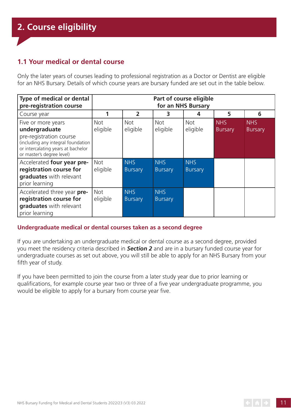# **1.1 Your medical or dental course**

Only the later years of courses leading to professional registration as a Doctor or Dentist are eligible for an NHS Bursary. Details of which course years are bursary funded are set out in the table below.

| Type of medical or dental<br>pre-registration course                                                                                                                    | Part of course eligible<br>for an NHS Bursary |                        |                              |                              |                              |                              |
|-------------------------------------------------------------------------------------------------------------------------------------------------------------------------|-----------------------------------------------|------------------------|------------------------------|------------------------------|------------------------------|------------------------------|
| Course year                                                                                                                                                             |                                               | $\overline{2}$         | 3                            | 4                            | 5                            | 6                            |
| Five or more years<br>undergraduate<br>pre-registration course<br>(including any integral foundation<br>or intercalating years at bachelor<br>or master's degree level) | <b>Not</b><br>eligible                        | <b>Not</b><br>eligible | <b>Not</b><br>eligible       | <b>Not</b><br>eligible       | <b>NHS</b><br><b>Bursary</b> | <b>NHS</b><br><b>Bursary</b> |
| Accelerated four year pre-<br>registration course for<br>graduates with relevant<br>prior learning                                                                      | <b>Not</b><br>eligible                        | <b>NHS</b><br>Bursary  | <b>NHS</b><br><b>Bursary</b> | <b>NHS</b><br><b>Bursary</b> |                              |                              |
| Accelerated three year pre-<br>registration course for<br>graduates with relevant<br>prior learning                                                                     | <b>Not</b><br>eligible                        | <b>NHS</b><br>Bursary  | <b>NHS</b><br><b>Bursary</b> |                              |                              |                              |

#### **Undergraduate medical or dental courses taken as a second degree**

If you are undertaking an undergraduate medical or dental course as a second degree, provided you meet the residency criteria described in *Section 2* and are in a bursary funded course year for undergraduate courses as set out above, you will still be able to apply for an NHS Bursary from your fifth year of study.

If you have been permitted to join the course from a later study year due to prior learning or qualifications, for example course year two or three of a five year undergraduate programme, you would be eligible to apply for a bursary from course year five.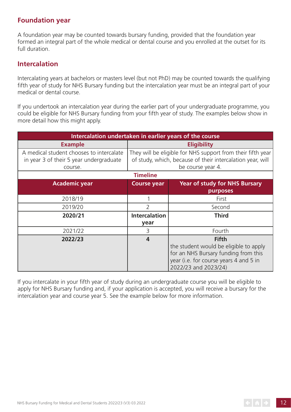# **Foundation year**

A foundation year may be counted towards bursary funding, provided that the foundation year formed an integral part of the whole medical or dental course and you enrolled at the outset for its full duration.

# **Intercalation**

Intercalating years at bachelors or masters level (but not PhD) may be counted towards the qualifying fifth year of study for NHS Bursary funding but the intercalation year must be an integral part of your medical or dental course.

If you undertook an intercalation year during the earlier part of your undergraduate programme, you could be eligible for NHS Bursary funding from your fifth year of study. The examples below show in more detail how this might apply.

| Intercalation undertaken in earlier years of the course |                         |                                                             |  |
|---------------------------------------------------------|-------------------------|-------------------------------------------------------------|--|
| <b>Example</b>                                          |                         | <b>Eligibility</b>                                          |  |
| A medical student chooses to intercalate                |                         | They will be eligible for NHS support from their fifth year |  |
| in year 3 of their 5 year undergraduate                 |                         | of study, which, because of their intercalation year, will  |  |
| course.                                                 |                         | be course year 4.                                           |  |
|                                                         | <b>Timeline</b>         |                                                             |  |
| <b>Academic year</b>                                    | <b>Course year</b>      | <b>Year of study for NHS Bursary</b>                        |  |
|                                                         |                         | purposes                                                    |  |
| 2018/19                                                 |                         | First                                                       |  |
| 2019/20                                                 | 2                       | Second                                                      |  |
| 2020/21                                                 | <b>Intercalation</b>    | <b>Third</b>                                                |  |
|                                                         | year                    |                                                             |  |
| 2021/22                                                 | 3                       | Fourth                                                      |  |
| 2022/23                                                 | $\overline{\mathbf{4}}$ | <b>Fifth</b>                                                |  |
|                                                         |                         | the student would be eligible to apply                      |  |
|                                                         |                         | for an NHS Bursary funding from this                        |  |
|                                                         |                         | year (i.e. for course years 4 and 5 in                      |  |
|                                                         |                         | 2022/23 and 2023/24)                                        |  |

If you intercalate in your fifth year of study during an undergraduate course you will be eligible to apply for NHS Bursary funding and, if your application is accepted, you will receive a bursary for the intercalation year and course year 5. See the example below for more information.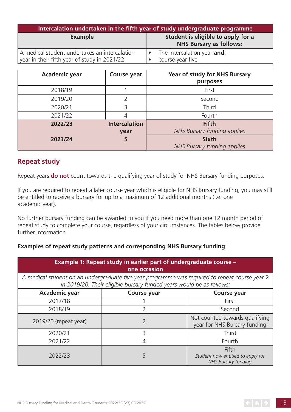| Intercalation undertaken in the fifth year of study undergraduate programme                   |                                                                      |  |
|-----------------------------------------------------------------------------------------------|----------------------------------------------------------------------|--|
| <b>Example</b>                                                                                | Student is eligible to apply for a<br><b>NHS Bursary as follows:</b> |  |
| A medical student undertakes an intercalation<br>year in their fifth year of study in 2021/22 | The intercalation year and;<br>course year five                      |  |

| <b>Academic year</b> | <b>Course year</b>           | Year of study for NHS Bursary<br>purposes   |
|----------------------|------------------------------|---------------------------------------------|
| 2018/19              |                              | First                                       |
| 2019/20              |                              | Second                                      |
| 2020/21              | 3                            | Third                                       |
| 2021/22              | 4                            | Fourth                                      |
| 2022/23              | <b>Intercalation</b><br>year | <b>Fifth</b><br>NHS Bursary funding applies |
| 2023/24              | 5                            | <b>Sixth</b><br>NHS Bursary funding applies |

# **Repeat study**

Repeat years **do not** count towards the qualifying year of study for NHS Bursary funding purposes.

If you are required to repeat a later course year which is eligible for NHS Bursary funding, you may still be entitled to receive a bursary for up to a maximum of 12 additional months (i.e. one academic year).

No further bursary funding can be awarded to you if you need more than one 12 month period of repeat study to complete your course, regardless of your circumstances. The tables below provide further information.

#### **Examples of repeat study patterns and corresponding NHS Bursary funding**

| Example 1: Repeat study in earlier part of undergraduate course -<br>one occasion                                                                                      |                    |                                                                          |  |
|------------------------------------------------------------------------------------------------------------------------------------------------------------------------|--------------------|--------------------------------------------------------------------------|--|
| A medical student on an undergraduate five year programme was required to repeat course year 2<br>in 2019/20. Their eligible bursary funded years would be as follows: |                    |                                                                          |  |
| <b>Academic year</b>                                                                                                                                                   | <b>Course year</b> | <b>Course year</b>                                                       |  |
| 2017/18                                                                                                                                                                |                    | First                                                                    |  |
| 2018/19                                                                                                                                                                |                    | Second                                                                   |  |
| 2019/20 (repeat year)                                                                                                                                                  |                    | Not counted towards qualifying<br>year for NHS Bursary funding           |  |
| 2020/21                                                                                                                                                                | 3                  | Third                                                                    |  |
| 2021/22                                                                                                                                                                | 4                  | Fourth                                                                   |  |
| 2022/23                                                                                                                                                                | 5                  | Fifth<br>Student now entitled to apply for<br><b>NHS Bursary funding</b> |  |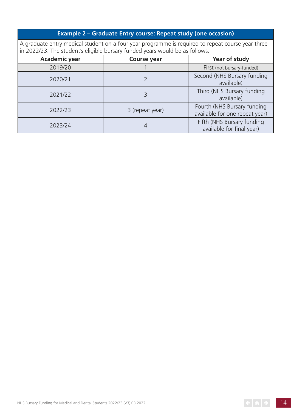# **Example 2 – Graduate Entry course: Repeat study (one occasion)**

A graduate entry medical student on a four-year programme is required to repeat course year three in 2022/23. The student's eligible bursary funded years would be as follows:

| <b>Academic year</b> | <b>Course year</b> | Year of study                                                 |  |
|----------------------|--------------------|---------------------------------------------------------------|--|
| 2019/20              |                    | First (not bursary-funded)                                    |  |
| 2020/21              |                    | Second (NHS Bursary funding<br>available)                     |  |
| 2021/22              |                    | Third (NHS Bursary funding<br>available)                      |  |
| 2022/23              | 3 (repeat year)    | Fourth (NHS Bursary funding<br>available for one repeat year) |  |
| 2023/24              |                    | Fifth (NHS Bursary funding<br>available for final year)       |  |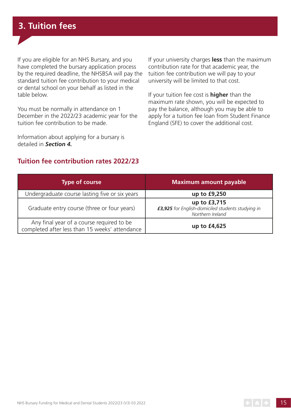If you are eligible for an NHS Bursary, and you have completed the bursary application process by the required deadline, the NHSBSA will pay th e standard tuition fee contribution to your medical or dental school on your behalf as listed in the table below.

You must be normally in attendance on 1 December in the 2022/23 academic year for the tuition fee contribution to be made.

Information about applying for a bursary is detailed in *Section 4.*

If your university charges **less** than the maximum contribution rate for that academic year, the tuition fee contribution we will pay to your university will be limited to that cost.

If your tuition fee cost is **higher** than the maximum rate shown, you will be expected to pay the balance, although you may be able to apply for a tuition fee loan from Student Finance England (SFE) to cover the additional cost.

# **Tuition fee contribution rates 2022/23**

| <b>Type of course</b>                                                                       | <b>Maximum amount payable</b>                                                         |
|---------------------------------------------------------------------------------------------|---------------------------------------------------------------------------------------|
| Undergraduate course lasting five or six years                                              | up to £9,250                                                                          |
| Graduate entry course (three or four years)                                                 | up to £3,715<br>£3,925 for English-domiciled students studying in<br>Northern Ireland |
| Any final year of a course required to be<br>completed after less than 15 weeks' attendance | up to £4,625                                                                          |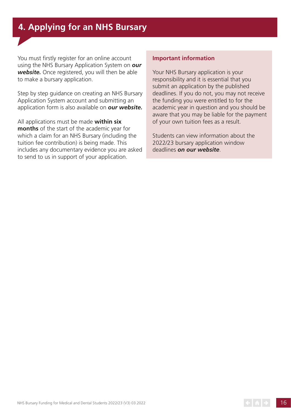# **4. Applying for an NHS Bursary**

You must firstly register for an online account using the NHS Bursary Application System on *[our](http://www.nhsbsa.nhs.uk/nhs-bursary-students)  [website.](http://www.nhsbsa.nhs.uk/nhs-bursary-students)* Once registered, you will then be able to make a bursary application.

Step by step guidance on creating an NHS Bursary Application System account and submitting an application form is also available on *[our website](http://www.nhsbsa.nhs.uk/nhs-bursary-students).*

All applications must be made **within six months** of the start of the academic year for which a claim for an NHS Bursary (including the tuition fee contribution) is being made. This includes any documentary evidence you are asked to send to us in support of your application.

#### **Important information**

Your NHS Bursary application is your responsibility and it is essential that you submit an application by the published deadlines. If you do not, you may not receive the funding you were entitled to for the academic year in question and you should be aware that you may be liable for the payment of your own tuition fees as a result.

Students can view information about the 2022/23 bursary application window deadlines *[on our website](http://www.nhsbsa.nhs.uk/nhs-bursary-students)*.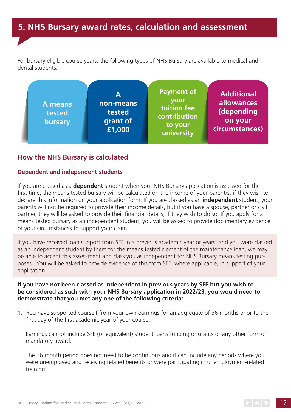# **5. NHS Bursary award rates, calculation and assessment**

For bursary eligible course years, the following types of NHS Bursary are available to medical and dental students.



# **How the NHS Bursary is calculated**

#### **Dependent and independent students**

If you are classed as a **dependent** student when your NHS Bursary application is assessed for the first time, the means tested bursary will be calculated on the income of your parent/s, if they wish to declare this information on your application form. If you are classed as an **independent** student, your parents will not be required to provide their income details, but if you have a spouse, partner or civil partner, they will be asked to provide their financial details, if they wish to do so. If you apply for a means tested bursary as an independent student, you will be asked to provide documentary evidence of your circumstances to support your claim.

If you have received loan support from SFE in a previous academic year or years, and you were classed as an independent student by them for the means tested element of the maintenance loan, we may be able to accept this assessment and class you as independent for NHS Bursary means testing purposes. You will be asked to provide evidence of this from SFE, where applicable, in support of your application.

#### **If you have not been classed as independent in previous years by SFE but you wish to be considered as such with your NHS Bursary application in 2022/23, you would need to demonstrate that you met any one of the following criteria:**

1. You have supported yourself from your own earnings for an aggregate of 36 months prior to the first day of the first academic year of your course.

Earnings cannot include SFE (or equivalent) student loans funding or grants or any other form of mandatory award.

The 36 month period does not need to be continuous and it can include any periods where you were unemployed and receiving related benefits or were participating in unemployment-related training.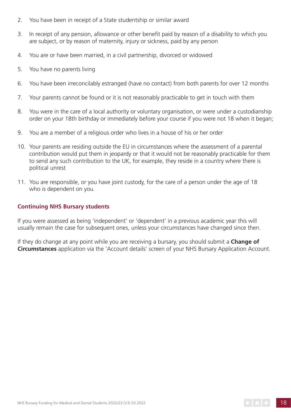- 2. You have been in receipt of a State studentship or similar award
- 3. In receipt of any pension, allowance or other benefit paid by reason of a disability to which you are subject, or by reason of maternity, injury or sickness, paid by any person
- 4. You are or have been married, in a civil partnership, divorced or widowed
- 5. You have no parents living
- 6. You have been irreconcilably estranged (have no contact) from both parents for over 12 months
- 7. Your parents cannot be found or it is not reasonably practicable to get in touch with them
- 8. You were in the care of a local authority or voluntary organisation, or were under a custodianship order on your 18th birthday or immediately before your course if you were not 18 when it began;
- 9. You are a member of a religious order who lives in a house of his or her order
- 10. Your parents are residing outside the EU in circumstances where the assessment of a parental contribution would put them in jeopardy or that it would not be reasonably practicable for them to send any such contribution to the UK, for example, they reside in a country where there is political unrest
- 11. You are responsible, or you have joint custody, for the care of a person under the age of 18 who is dependent on you.

#### **Continuing NHS Bursary students**

If you were assessed as being 'independent' or 'dependent' in a previous academic year this will usually remain the case for subsequent ones, unless your circumstances have changed since then.

If they do change at any point while you are receiving a bursary, you should submit a **Change of Circumstances** application via the 'Account details' screen of your NHS Bursary Application Account.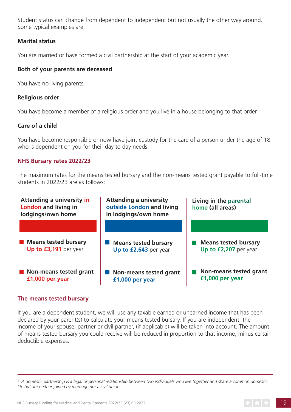Student status can change from dependent to independent but not usually the other way around. Some typical examples are:

#### **Marital status**

You are married or have formed a civil partnership at the start of your academic year.

#### **Both of your parents are deceased**

You have no living parents.

#### **Religious order**

You have become a member of a religious order and you live in a house belonging to that order.

#### **Care of a child**

You have become responsible or now have joint custody for the care of a person under the age of 18 who is dependent on you for their day to day needs.

#### **NHS Bursary rates 2022/23**

The maximum rates for the means tested bursary and the non-means tested grant payable to full-time students in 2022/23 are as follows:



#### **The means tested bursary**

If you are a dependent student, we will use any taxable earned or unearned income that has been declared by your parent(s) to calculate your means tested bursary. If you are independent, the income of your spouse, partner or civil partner, (if applicable) will be taken into account. The amount of means tested bursary you could receive will be reduced in proportion to that income, minus certain deductible expenses.

*<sup>9</sup> A domestic partnership is a legal or personal relationship between two individuals who live together and share a common domestic life but are neither joined by marriage nor a civil union.*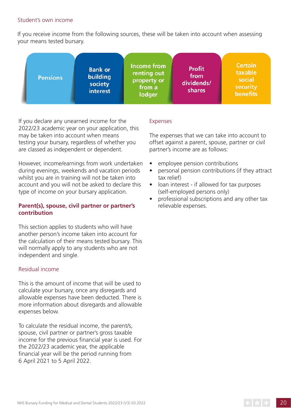#### Student's own income

If you receive income from the following sources, these will be taken into account when assessing your means tested bursary.



If you declare any unearned income for the 2022/23 academic year on your application, this may be taken into account when means testing your bursary, regardless of whether you are classed as independent or dependent.

However, income/earnings from work undertaken during evenings, weekends and vacation periods whilst you are in training will not be taken into account and you will not be asked to declare this type of income on your bursary application.

#### **Parent(s), spouse, civil partner or partner's contribution**

This section applies to students who will have another person's income taken into account for the calculation of their means tested bursary. This will normally apply to any students who are not independent and single.

#### Residual income

This is the amount of income that will be used to calculate your bursary, once any disregards and allowable expenses have been deducted. There is more information about disregards and allowable expenses below.

To calculate the residual income, the parent/s, spouse, civil partner or partner's gross taxable income for the previous financial year is used. For the 2022/23 academic year, the applicable financial year will be the period running from 6 April 2021 to 5 April 2022.

#### Expenses

The expenses that we can take into account to offset against a parent, spouse, partner or civil partner's income are as follows:

- employee pension contributions
- personal pension contributions (if they attract tax relief)
- loan interest if allowed for tax purposes (self-employed persons only)
- professional subscriptions and any other tax relievable expenses.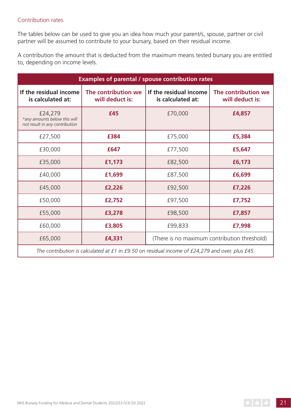#### Contribution rates

The tables below can be used to give you an idea how much your parent/s, spouse, partner or civil partner will be assumed to contribute to your bursary, based on their residual income.

A contribution the amount that is deducted from the maximum means tested bursary you are entitled to, depending on income levels.

| <b>Examples of parental / spouse contribution rates</b>                   |                                        |                                              |                                        |
|---------------------------------------------------------------------------|----------------------------------------|----------------------------------------------|----------------------------------------|
| If the residual income<br>is calculated at:                               | The contribution we<br>will deduct is: | If the residual income<br>is calculated at:  | The contribution we<br>will deduct is: |
| £24,279<br>*any amounts below this will<br>not result in any contribution | £45                                    | £70,000                                      | £4,857                                 |
| £27,500                                                                   | £384                                   | £75,000                                      | £5,384                                 |
| £30,000                                                                   | £647                                   | £77,500                                      | £5,647                                 |
| £35,000                                                                   | £1,173                                 | £82,500                                      | £6,173                                 |
| £40,000                                                                   | £1,699                                 | £87,500                                      | £6,699                                 |
| £45,000                                                                   | £2,226                                 | £92,500                                      | £7,226                                 |
| £50,000                                                                   | £2,752                                 | £97,500                                      | £7,752                                 |
| £55,000                                                                   | £3,278                                 | £98,500                                      | £7,857                                 |
| £60,000                                                                   | £3,805                                 | £99,833                                      | £7,998                                 |
| £65,000                                                                   | £4,331                                 | (There is no maximum contribution threshold) |                                        |
|                                                                           |                                        |                                              |                                        |

*The contribution is calculated at £1 in £9.50 on residual income of £24,279 and over, plus £45.*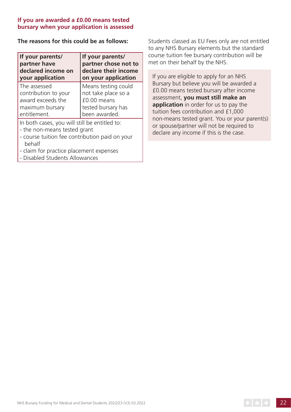#### **If you are awarded a £0.00 means tested bursary when your application is assessed**

#### **The reasons for this could be as follows:**

| If your parents/<br>partner have<br>declared income on<br>your application | If your parents/<br>partner chose not to<br>declare their income<br>on your application |
|----------------------------------------------------------------------------|-----------------------------------------------------------------------------------------|
| The assessed                                                               | Means testing could                                                                     |
| contribution to your                                                       | not take place so a                                                                     |
| award exceeds the                                                          | £0.00 means                                                                             |
| maximum bursary                                                            | tested bursary has                                                                      |
| entitlement.                                                               | been awarded.                                                                           |
|                                                                            |                                                                                         |

In both cases, you will still be entitled to:

- the non-means tested grant
- course tuition fee contribution paid on your behalf
- claim for practice placement expenses
- Disabled Students Allowances

Students classed as EU Fees only are not entitled to any NHS Bursary elements but the standard course tuition fee bursary contribution will be met on their behalf by the NHS.

If you are eligible to apply for an NHS Bursary but believe you will be awarded a £0.00 means tested bursary after income assessment, **you must still make an application** in order for us to pay the tuition fees contribution and £1,000 non-means tested grant. You or your parent(s) or spouse/partner will not be required to declare any income if this is the case.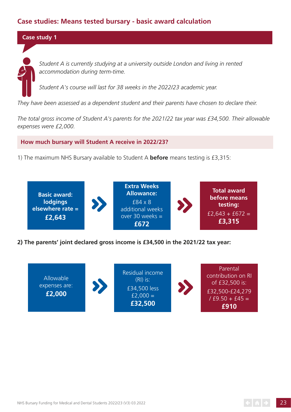# **Case studies: Means tested bursary - basic award calculation**

#### **Case study 1**

*Student A is currently studying at a university outside London and living in rented accommodation during term-time.*

*Student A's course will last for 38 weeks in the 2022/23 academic year.*

*They have been assessed as a dependent student and their parents have chosen to declare their.*

*The total gross income of Student A's parents for the 2021/22 tax year was £34,500. Their allowable expenses were £2,000.*

 **How much bursary will Student A receive in 2022/23?**

1) The maximum NHS Bursary available to Student A **before** means testing is £3,315:



**2) The parents' joint declared gross income is £34,500 in the 2021/22 tax year:**

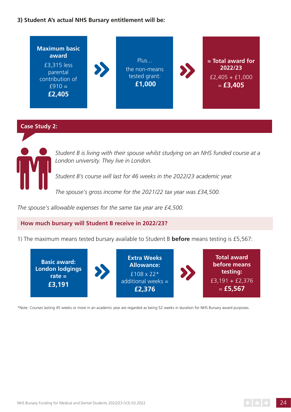#### **3) Student A's actual NHS Bursary entitlement will be:**



#### **Case Study 2:**



*Student B is living with their spouse whilst studying on an NHS funded course at a London university. They live in London.*

*Student B's course will last for 46 weeks in the 2022/23 academic year.*

*The spouse's gross income for the 2021/22 tax year was £34,500.*

*The spouse's allowable expenses for the same tax year are £4,500.*

#### **How much bursary will Student B receive in 2022/23?**

1) The maximum means tested bursary available to Student B **before** means testing is £5,567:



\*Note: Courses lasting 45 weeks or more in an academic year are regarded as being 52 weeks in duration for NHS Bursary award purposes.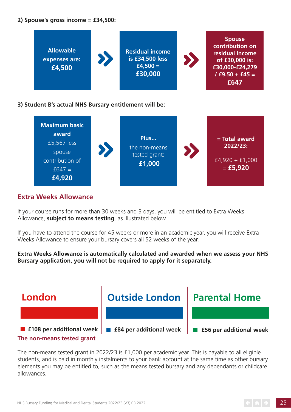#### **2) Spouse's gross income = £34,500:**



#### **3) Student B's actual NHS Bursary entitlement will be:**



# **Extra Weeks Allowance**

If your course runs for more than 30 weeks and 3 days, you will be entitled to Extra Weeks Allowance, **subject to means testing**, as illustrated below.

If you have to attend the course for 45 weeks or more in an academic year, you will receive Extra Weeks Allowance to ensure your bursary covers all 52 weeks of the year.

**Extra Weeks Allowance is automatically calculated and awarded when we assess your NHS Bursary application, you will not be required to apply for it separately.**



The non-means tested grant in 2022/23 is £1,000 per academic year. This is payable to all eligible students, and is paid in monthly instalments to your bank account at the same time as other bursary elements you may be entitled to, such as the means tested bursary and any dependants or childcare allowances.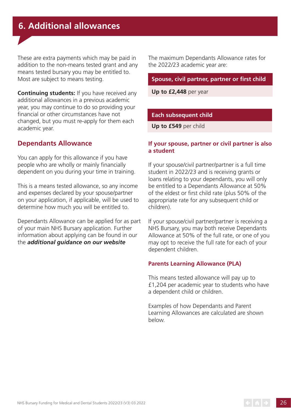These are extra payments which may be paid in addition to the non-means tested grant and any means tested bursary you may be entitled to. Most are subject to means testing.

**Continuing students:** If you have received any additional allowances in a previous academic year, you may continue to do so providing your financial or other circumstances have not changed, but you must re-apply for them each academic year.

# **Dependants Allowance**

You can apply for this allowance if you have people who are wholly or mainly financially dependent on you during your time in training.

This is a means tested allowance, so any income and expenses declared by your spouse/partner on your application, if applicable, will be used to determine how much you will be entitled to.

Dependants Allowance can be applied for as part of your main NHS Bursary application. Further information about applying can be found in our the *[additional guidance on our website](http://www.nhsbsa.nhs.uk/nhs-bursary-students)*

The maximum Dependants Allowance rates for the 2022/23 academic year are:

#### **Spouse, civil partner, partner or first child**

**Up to £2,448** per year

#### **Each subsequent child**

**Up to £549** per child

#### **If your spouse, partner or civil partner is also a student**

If your spouse/civil partner/partner is a full time student in 2022/23 and is receiving grants or loans relating to your dependants, you will only be entitled to a Dependants Allowance at 50% of the eldest or first child rate (plus 50% of the appropriate rate for any subsequent child or children).

If your spouse/civil partner/partner is receiving a NHS Bursary, you may both receive Dependants Allowance at 50% of the full rate, or one of you may opt to receive the full rate for each of your dependent children.

#### **Parents Learning Allowance (PLA)**

This means tested allowance will pay up to £1,204 per academic year to students who have a dependent child or children.

Examples of how Dependants and Parent Learning Allowances are calculated are shown below.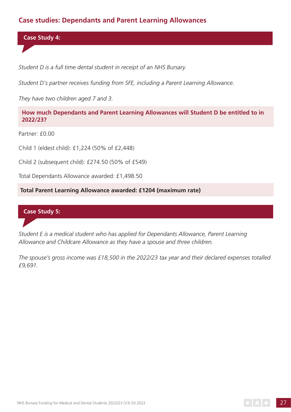# **Case studies: Dependants and Parent Learning Allowances**

 **Case Study 4:** 

*Student D is a full time dental student in receipt of an NHS Bursary.*

*Student D's partner receives funding from SFE, including a Parent Learning Allowance.*

*They have two children aged 7 and 3.*

 **How much Dependants and Parent Learning Allowances will Student D be entitled to in 2022/23?**

Partner: £0.00

Child 1 (eldest child): £1,224 (50% of £2,448)

Child 2 (subsequent child): £274.50 (50% of £549)

Total Dependants Allowance awarded: £1,498.50

**Total Parent Learning Allowance awarded: £1204 (maximum rate)**

## **Case Study 5:**

*Student E is a medical student who has applied for Dependants Allowance, Parent Learning Allowance and Childcare Allowance as they have a spouse and three children.*

*The spouse's gross income was £18,500 in the 2022/23 tax year and their declared expenses totalled £9,691.*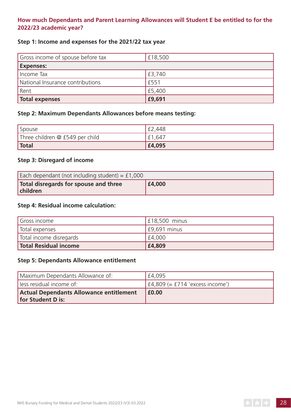## **How much Dependants and Parent Learning Allowances will Student E be entitled to for the 2022/23 academic year?**

#### **Step 1: Income and expenses for the 2021/22 tax year**

| Gross income of spouse before tax | £18,500 |
|-----------------------------------|---------|
| <b>Expenses:</b>                  |         |
| Income Tax                        | £3,740  |
| National Insurance contributions  | £551    |
| Rent                              | £5,400  |
| Total expenses                    | £9,691  |

#### **Step 2: Maximum Dependants Allowances before means testing:**

| Spouse                          | £2,448 |
|---------------------------------|--------|
| Three children @ £549 per child | £1,647 |
| <b>Total</b>                    | £4,095 |

## **Step 3: Disregard of income**

| Each dependant (not including student) = $£1,000$ |        |  |
|---------------------------------------------------|--------|--|
| Total disregards for spouse and three<br>children | £4,000 |  |

#### **Step 4: Residual income calculation:**

| Gross income            | $\pm 18,500$ minus |
|-------------------------|--------------------|
| Total expenses          | $E9,691$ minus     |
| Total income disregards | £4,000             |
| Total Residual income   | £4,809             |

#### **Step 5: Dependants Allowance entitlement**

| Maximum Dependants Allowance of:                                    | £4,095                              |  |
|---------------------------------------------------------------------|-------------------------------------|--|
| less residual income of:                                            | $ $ £4,809 (= £714 'excess income') |  |
| Actual Dependants Allowance entitlement<br><b>for Student D is:</b> | <b>E0.00</b>                        |  |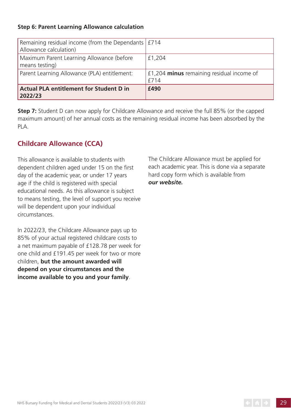## **Step 6: Parent Learning Allowance calculation**

| Remaining residual income (from the Dependants   £714<br>Allowance calculation) |                                                   |
|---------------------------------------------------------------------------------|---------------------------------------------------|
| Maximum Parent Learning Allowance (before<br>means testing)                     | £1,204                                            |
| Parent Learning Allowance (PLA) entitlement:                                    | £1,204 minus remaining residual income of<br>£714 |
| <b>Actual PLA entitlement for Student D in</b><br>2022/23                       | £490                                              |

**Step 7:** Student D can now apply for Childcare Allowance and receive the full 85% (or the capped maximum amount) of her annual costs as the remaining residual income has been absorbed by the PLA.

# **Childcare Allowance (CCA)**

This allowance is available to students with dependent children aged under 15 on the first day of the academic year, or under 17 years age if the child is registered with special educational needs. As this allowance is subject to means testing, the level of support you receive will be dependent upon your individual circumstances.

In 2022/23, the Childcare Allowance pays up to 85% of your actual registered childcare costs to a net maximum payable of £128.78 per week for one child and £191.45 per week for two or more children, **but the amount awarded will depend on your circumstances and the income available to you and your family**.

The Childcare Allowance must be applied for each academic year. This is done via a separate hard copy form which is available from *[our website.](http://www.nhsbsa.nhs.uk/CCA)*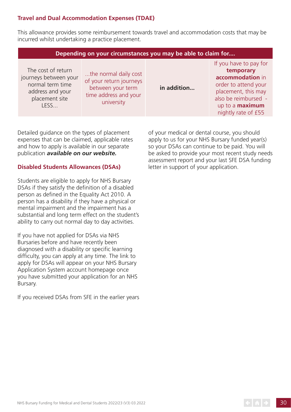# **Travel and Dual Accommodation Expenses (TDAE)**

This allowance provides some reimbursement towards travel and accommodation costs that may be incurred whilst undertaking a practice placement.

| Depending on your circumstances you may be able to claim for                                                  |                                                                                                              |             |                                                                                                                                                                                 |  |
|---------------------------------------------------------------------------------------------------------------|--------------------------------------------------------------------------------------------------------------|-------------|---------------------------------------------------------------------------------------------------------------------------------------------------------------------------------|--|
| The cost of return<br>journeys between your<br>normal term time<br>address and your<br>placement site<br>LESS | the normal daily cost<br>of your return journeys<br>between your term<br>time address and your<br>university | in addition | If you have to pay for<br>temporary<br>accommodation in<br>order to attend your<br>placement, this may<br>also be reimbursed -<br>up to a <b>maximum</b><br>nightly rate of £55 |  |

Detailed guidance on the types of placement expenses that can be claimed, applicable rates and how to apply is available in our separate publication *[available on our website.](http://www.nhsbsa.nhs.uk/nhs-bursary-TDAE)*

#### **Disabled Students Allowances (DSAs)**

Students are eligible to apply for NHS Bursary DSAs if they satisfy the definition of a disabled person as defined in the Equality Act 2010. A person has a disability if they have a physical or mental impairment and the impairment has a substantial and long term effect on the student's ability to carry out normal day to day activities.

If you have not applied for DSAs via NHS Bursaries before and have recently been diagnosed with a disability or specific learning difficulty, you can apply at any time. The link to apply for DSAs will appear on your NHS Bursary Application System account homepage once you have submitted your application for an NHS Bursary.

If you received DSAs from SFE in the earlier years

of your medical or dental course, you should apply to us for your NHS Bursary funded year(s) so your DSAs can continue to be paid. You will be asked to provide your most recent study needs assessment report and your last SFE DSA funding letter in support of your application.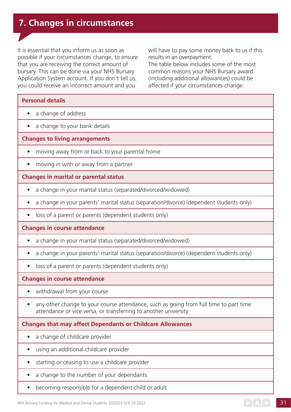# **7. Changes in circumstances**

It is essential that you inform us as soon as possible if your circumstances change, to ensure that you are receiving the correct amount of bursary. This can be done via your NHS Bursary Application System account. If you don't tell us, you could receive an incorrect amount and you

will have to pay some money back to us if this results in an overpayment. The table below includes some of the most common reasons your NHS Bursary award (including additional allowances) could be affected if your circumstances change.

#### **Personal details**

- a change of address
- a change to your bank details

#### **Changes to living arrangements**

- moving away from or back to your parental home
- moving in with or away from a partner

#### **Changes in marital or parental status**

- a change in your marital status (separated/divorced/widowed)
- a change in your parents' marital status (separation/divorce) (dependent students only)
- loss of a parent or parents (dependent students only)

#### **Changes in course attendance**

- a change in your marital status (separated/divorced/widowed)
- a change in your parents' marital status (separation/divorce) (dependent students only)
- loss of a parent or parents (dependent students only)

#### **Changes in course attendance**

- withdrawal from your course
- any other change to your course attendance, such as going from full time to part time attendance or vice versa, or transferring to another university

#### **Changes that may affect Dependants or Childcare Allowances**

- a change of childcare provider
- using an additional childcare provider
- starting or ceasing to use a childcare provider
- a change to the number of your dependants
- becoming responsible for a dependent child or adult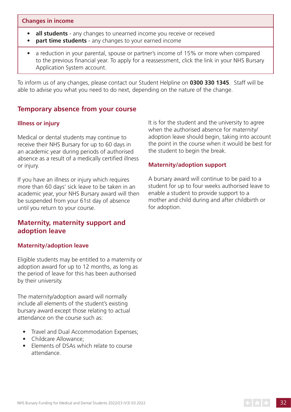#### **Changes in income**

- **all students** any changes to unearned income you receive or received
- **part time students** any changes to your earned income
- a reduction in your parental, spouse or partner's income of 15% or more when compared to the previous financial year. To apply for a reassessment, click the link in your NHS Bursary Application System account.

To inform us of any changes, please contact our Student Helpline on **0300 330 1345**. Staff will be able to advise you what you need to do next, depending on the nature of the change.

# **Temporary absence from your course**

## **Illness or injury**

Medical or dental students may continue to receive their NHS Bursary for up to 60 days in an academic year during periods of authorised absence as a result of a medically certified illness or injury.

If you have an illness or injury which requires more than 60 days' sick leave to be taken in an academic year, your NHS Bursary award will then be suspended from your 61st day of absence until you return to your course.

# **Maternity, maternity support and adoption leave**

#### **Maternity/adoption leave**

Eligible students may be entitled to a maternity or adoption award for up to 12 months, as long as the period of leave for this has been authorised by their university.

The maternity/adoption award will normally include all elements of the student's existing bursary award except those relating to actual attendance on the course such as:

- Travel and Dual Accommodation Expenses;
- Childcare Allowance:
- Elements of DSAs which relate to course attendance.

It is for the student and the university to agree when the authorised absence for maternity/ adoption leave should begin, taking into account the point in the course when it would be best for the student to begin the break.

#### **Maternity/adoption support**

A bursary award will continue to be paid to a student for up to four weeks authorised leave to enable a student to provide support to a mother and child during and after childbirth or for adoption.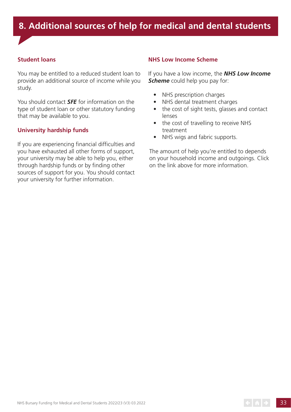# **8. Additional sources of help for medical and dental students**

#### **Student loans**

You may be entitled to a reduced student loan to provide an additional source of income while you study.

You should contact *[SFE](https://www.gov.uk/student-finance)* for information on the type of student loan or other statutory funding that may be available to you.

#### **University hardship funds**

If you are experiencing financial difficulties and you have exhausted all other forms of support, your university may be able to help you, either through hardship funds or by finding other sources of support for you. You should contact your university for further information.

#### **NHS Low Income Scheme**

If you have a low income, the *[NHS Low Income](https://www.nhsbsa.nhs.uk/nhs-low-income-scheme)*  **[Scheme](https://www.nhsbsa.nhs.uk/nhs-low-income-scheme)** could help you pay for:

- NHS prescription charges
- NHS dental treatment charges
- the cost of sight tests, glasses and contact lenses
- the cost of travelling to receive NHS treatment
- NHS wigs and fabric supports.

The amount of help you're entitled to depends on your household income and outgoings. Click on the link above for more information.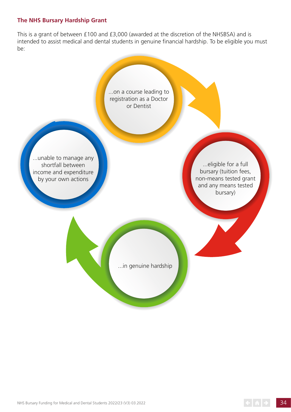#### **The NHS Bursary Hardship Grant**

This is a grant of between £100 and £3,000 (awarded at the discretion of the NHSBSA) and is intended to assist medical and dental students in genuine financial hardship. To be eligible you must be: